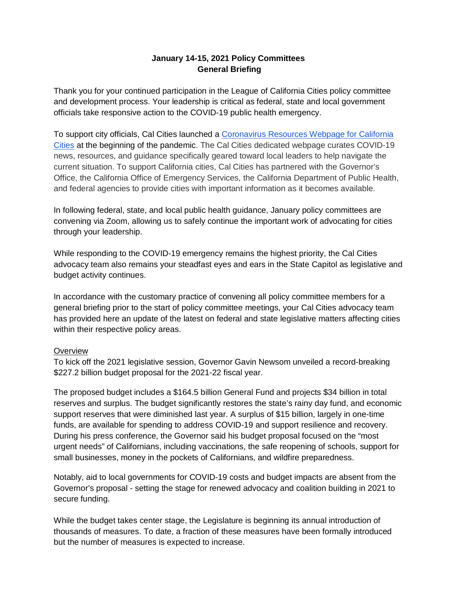# **January 14-15, 2021 Policy Committees General Briefing**

Thank you for your continued participation in the League of California Cities policy committee and development process. Your leadership is critical as federal, state and local government officials take responsive action to the COVID-19 public health emergency.

To support city officials, Cal Cities launched a [Coronavirus Resources Webpage for California](https://www.cacities.org/coronavirus)  [Cities](https://www.cacities.org/coronavirus) at the beginning of the pandemic. The Cal Cities dedicated webpage curates COVID-19 news, resources, and guidance specifically geared toward local leaders to help navigate the current situation. To support California cities, Cal Cities has partnered with the Governor's Office, the California Office of Emergency Services, the California Department of Public Health, and federal agencies to provide cities with important information as it becomes available.

In following federal, state, and local public health guidance, January policy committees are convening via Zoom, allowing us to safely continue the important work of advocating for cities through your leadership.

While responding to the COVID-19 emergency remains the highest priority, the Cal Cities advocacy team also remains your steadfast eyes and ears in the State Capitol as legislative and budget activity continues.

In accordance with the customary practice of convening all policy committee members for a general briefing prior to the start of policy committee meetings, your Cal Cities advocacy team has provided here an update of the latest on federal and state legislative matters affecting cities within their respective policy areas.

### **Overview**

To kick off the 2021 legislative session, Governor Gavin Newsom unveiled a record-breaking \$227.2 billion budget proposal for the 2021-22 fiscal year.

The proposed budget includes a \$164.5 billion General Fund and projects \$34 billion in total reserves and surplus. The budget significantly restores the state's rainy day fund, and economic support reserves that were diminished last year. A surplus of \$15 billion, largely in one-time funds, are available for spending to address COVID-19 and support resilience and recovery. During his press conference, the Governor said his budget proposal focused on the "most urgent needs" of Californians, including vaccinations, the safe reopening of schools, support for small businesses, money in the pockets of Californians, and wildfire preparedness.

Notably, aid to local governments for COVID-19 costs and budget impacts are absent from the Governor's proposal - setting the stage for renewed advocacy and coalition building in 2021 to secure funding.

While the budget takes center stage, the Legislature is beginning its annual introduction of thousands of measures. To date, a fraction of these measures have been formally introduced but the number of measures is expected to increase.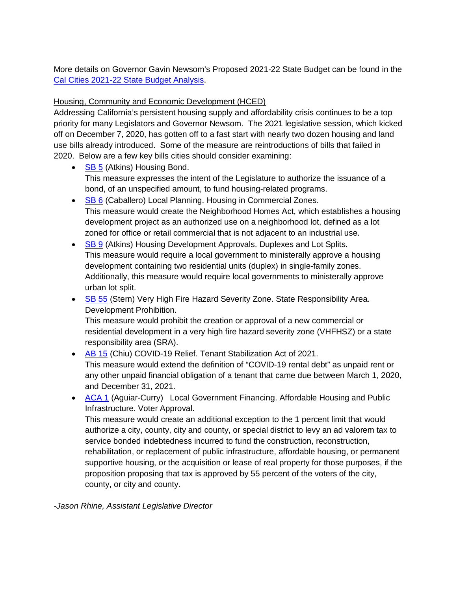More details on Governor Gavin Newsom's Proposed 2021-22 State Budget can be found in the [Cal Cities 2021-22 State Budget Analysis.](https://www.cacities.org/Top/News/News-Articles/2021/January/Governor-Newsom-s-proposed-2021-22-State-Budget-pr)

## Housing, Community and Economic Development (HCED)

Addressing California's persistent housing supply and affordability crisis continues to be a top priority for many Legislators and Governor Newsom. The 2021 legislative session, which kicked off on December 7, 2020, has gotten off to a fast start with nearly two dozen housing and land use bills already introduced. Some of the measure are reintroductions of bills that failed in 2020. Below are a few key bills cities should consider examining:

- [SB 5](https://ctweb.capitoltrack.com/public/search.aspx?id=ad485199-37cd-42cd-8217-d19b4d257119&session=21&s=sb%205&t=bill) (Atkins) Housing Bond. This measure expresses the intent of the Legislature to authorize the issuance of a bond, of an unspecified amount, to fund housing-related programs.
- [SB 6](https://ctweb.capitoltrack.com/public/search.aspx?id=ad485199-37cd-42cd-8217-d19b4d257119&session=21&s=sb%206&t=bill) (Caballero) Local Planning. Housing in Commercial Zones. This measure would create the Neighborhood Homes Act, which establishes a housing development project as an authorized use on a neighborhood lot, defined as a lot zoned for office or retail commercial that is not adjacent to an industrial use.
- [SB 9](https://ctweb.capitoltrack.com/public/search.aspx?id=ad485199-37cd-42cd-8217-d19b4d257119&session=21&s=sb%209&t=bill) (Atkins) Housing Development Approvals. Duplexes and Lot Splits. This measure would require a local government to ministerally approve a housing development containing two residential units (duplex) in single-family zones. Additionally, this measure would require local governments to ministerally approve urban lot split.
- [SB 55](https://ctweb.capitoltrack.com/public/search.aspx?id=ad485199-37cd-42cd-8217-d19b4d257119&session=21&s=sb%2055&t=bill) (Stern) Very High Fire Hazard Severity Zone. State Responsibility Area. Development Prohibition.

This measure would prohibit the creation or approval of a new commercial or residential development in a very high fire hazard severity zone (VHFHSZ) or a state responsibility area (SRA).

- [AB 15](https://ctweb.capitoltrack.com/public/search.aspx?id=ad485199-37cd-42cd-8217-d19b4d257119&session=21&s=ab%2015&t=bill) (Chiu) COVID-19 Relief. Tenant Stabilization Act of 2021. This measure would extend the definition of "COVID-19 rental debt" as unpaid rent or any other unpaid financial obligation of a tenant that came due between March 1, 2020, and December 31, 2021.
- [ACA 1](https://ctweb.capitoltrack.com/public/search.aspx?id=ad485199-37cd-42cd-8217-d19b4d257119&session=21&s=aca%201&t=bill) (Aguiar-Curry) Local Government Financing. Affordable Housing and Public Infrastructure. Voter Approval.

This measure would create an additional exception to the 1 percent limit that would authorize a city, county, city and county, or special district to levy an ad valorem tax to service bonded indebtedness incurred to fund the construction, reconstruction, rehabilitation, or replacement of public infrastructure, affordable housing, or permanent supportive housing, or the acquisition or lease of real property for those purposes, if the proposition proposing that tax is approved by 55 percent of the voters of the city, county, or city and county.

*-Jason Rhine, Assistant Legislative Director*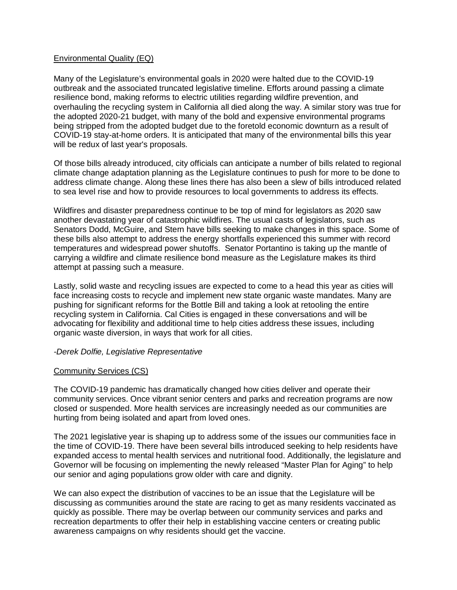#### Environmental Quality (EQ)

Many of the Legislature's environmental goals in 2020 were halted due to the COVID-19 outbreak and the associated truncated legislative timeline. Efforts around passing a climate resilience bond, making reforms to electric utilities regarding wildfire prevention, and overhauling the recycling system in California all died along the way. A similar story was true for the adopted 2020-21 budget, with many of the bold and expensive environmental programs being stripped from the adopted budget due to the foretold economic downturn as a result of COVID-19 stay-at-home orders. It is anticipated that many of the environmental bills this year will be redux of last year's proposals.

Of those bills already introduced, city officials can anticipate a number of bills related to regional climate change adaptation planning as the Legislature continues to push for more to be done to address climate change. Along these lines there has also been a slew of bills introduced related to sea level rise and how to provide resources to local governments to address its effects.

Wildfires and disaster preparedness continue to be top of mind for legislators as 2020 saw another devastating year of catastrophic wildfires. The usual casts of legislators, such as Senators Dodd, McGuire, and Stern have bills seeking to make changes in this space. Some of these bills also attempt to address the energy shortfalls experienced this summer with record temperatures and widespread power shutoffs. Senator Portantino is taking up the mantle of carrying a wildfire and climate resilience bond measure as the Legislature makes its third attempt at passing such a measure.

Lastly, solid waste and recycling issues are expected to come to a head this year as cities will face increasing costs to recycle and implement new state organic waste mandates. Many are pushing for significant reforms for the Bottle Bill and taking a look at retooling the entire recycling system in California. Cal Cities is engaged in these conversations and will be advocating for flexibility and additional time to help cities address these issues, including organic waste diversion, in ways that work for all cities.

#### *-Derek Dolfie, Legislative Representative*

#### Community Services (CS)

The COVID-19 pandemic has dramatically changed how cities deliver and operate their community services. Once vibrant senior centers and parks and recreation programs are now closed or suspended. More health services are increasingly needed as our communities are hurting from being isolated and apart from loved ones.

The 2021 legislative year is shaping up to address some of the issues our communities face in the time of COVID-19. There have been several bills introduced seeking to help residents have expanded access to mental health services and nutritional food. Additionally, the legislature and Governor will be focusing on implementing the newly released "Master Plan for Aging" to help our senior and aging populations grow older with care and dignity.

We can also expect the distribution of vaccines to be an issue that the Legislature will be discussing as communities around the state are racing to get as many residents vaccinated as quickly as possible. There may be overlap between our community services and parks and recreation departments to offer their help in establishing vaccine centers or creating public awareness campaigns on why residents should get the vaccine.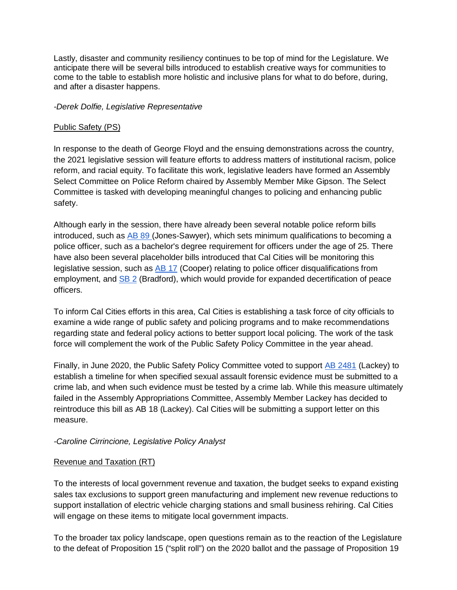Lastly, disaster and community resiliency continues to be top of mind for the Legislature. We anticipate there will be several bills introduced to establish creative ways for communities to come to the table to establish more holistic and inclusive plans for what to do before, during, and after a disaster happens.

#### *-Derek Dolfie, Legislative Representative*

#### Public Safety (PS)

In response to the death of George Floyd and the ensuing demonstrations across the country, the 2021 legislative session will feature efforts to address matters of institutional racism, police reform, and racial equity. To facilitate this work, legislative leaders have formed an Assembly Select Committee on Police Reform chaired by Assembly Member Mike Gipson. The Select Committee is tasked with developing meaningful changes to policing and enhancing public safety.

Although early in the session, there have already been several notable police reform bills introduced, such as [AB 89 \(](https://ctweb.capitoltrack.com/public/search.aspx?id=ad485199-37cd-42cd-8217-d19b4d257119&session=21&s=ab%2089&t=bill)Jones-Sawyer), which sets minimum qualifications to becoming a police officer, such as a bachelor's degree requirement for officers under the age of 25. There have also been several placeholder bills introduced that Cal Cities will be monitoring this legislative session, such as [AB 17](https://ctweb.capitoltrack.com/public/search.aspx?id=ad485199-37cd-42cd-8217-d19b4d257119&session=21&s=AB%2017&t=bill) (Cooper) relating to police officer disqualifications from employment, and [SB 2](https://ctweb.capitoltrack.com/public/search.aspx?id=ad485199-37cd-42cd-8217-d19b4d257119&session=21&s=SB%202&t=bill) (Bradford), which would provide for expanded decertification of peace officers.

To inform Cal Cities efforts in this area, Cal Cities is establishing a task force of city officials to examine a wide range of public safety and policing programs and to make recommendations regarding state and federal policy actions to better support local policing. The work of the task force will complement the work of the Public Safety Policy Committee in the year ahead.

Finally, in June 2020, the Public Safety Policy Committee voted to support [AB 2481](https://ctweb.capitoltrack.com/public/search.aspx?id=ad485199-37cd-42cd-8217-d19b4d257119&session=19&s=AB%202481&t=bill) (Lackey) to establish a timeline for when specified sexual assault forensic evidence must be submitted to a crime lab, and when such evidence must be tested by a crime lab. While this measure ultimately failed in the Assembly Appropriations Committee, Assembly Member Lackey has decided to reintroduce this bill as AB 18 (Lackey). Cal Cities will be submitting a support letter on this measure.

### *-Caroline Cirrincione, Legislative Policy Analyst*

### Revenue and Taxation (RT)

To the interests of local government revenue and taxation, the budget seeks to expand existing sales tax exclusions to support green manufacturing and implement new revenue reductions to support installation of electric vehicle charging stations and small business rehiring. Cal Cities will engage on these items to mitigate local government impacts.

To the broader tax policy landscape, open questions remain as to the reaction of the Legislature to the defeat of Proposition 15 ("split roll") on the 2020 ballot and the passage of Proposition 19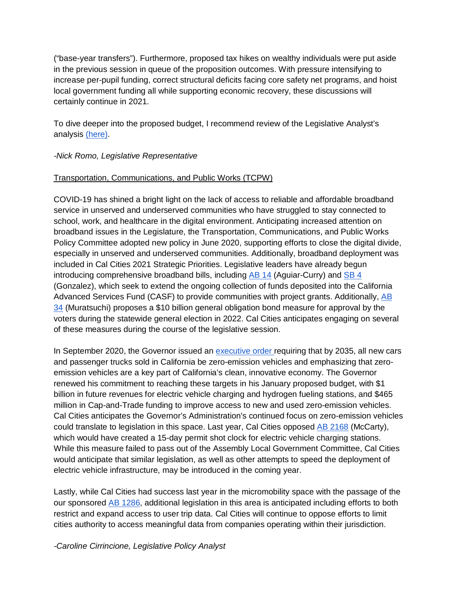("base-year transfers"). Furthermore, proposed tax hikes on wealthy individuals were put aside in the previous session in queue of the proposition outcomes. With pressure intensifying to increase per-pupil funding, correct structural deficits facing core safety net programs, and hoist local government funding all while supporting economic recovery, these discussions will certainly continue in 2021.

To dive deeper into the proposed budget, I recommend review of the Legislative Analyst's analysis [\(here\).](https://lao.ca.gov/Publications/Report/4309)

## *-Nick Romo, Legislative Representative*

## Transportation, Communications, and Public Works (TCPW)

COVID-19 has shined a bright light on the lack of access to reliable and affordable broadband service in unserved and underserved communities who have struggled to stay connected to school, work, and healthcare in the digital environment. Anticipating increased attention on broadband issues in the Legislature, the Transportation, Communications, and Public Works Policy Committee adopted new policy in June 2020, supporting efforts to close the digital divide, especially in unserved and underserved communities. Additionally, broadband deployment was included in Cal Cities 2021 Strategic Priorities. Legislative leaders have already begun introducing comprehensive broadband bills, including [AB 14](https://ctweb.capitoltrack.com/public/search.aspx?id=ad485199-37cd-42cd-8217-d19b4d257119&session=21&s=AB%2014&t=bill) (Aguiar-Curry) and [SB 4](https://ctweb.capitoltrack.com/public/search.aspx?id=ad485199-37cd-42cd-8217-d19b4d257119&session=21&s=SB%204&t=bill) (Gonzalez), which seek to extend the ongoing collection of funds deposited into the California Advanced Services Fund (CASF) to provide communities with project grants. Additionally, [AB](https://ctweb.capitoltrack.com/public/search.aspx?id=ad485199-37cd-42cd-8217-d19b4d257119&session=21&s=AB%2034&t=bill)  [34](https://ctweb.capitoltrack.com/public/search.aspx?id=ad485199-37cd-42cd-8217-d19b4d257119&session=21&s=AB%2034&t=bill) (Muratsuchi) proposes a \$10 billion general obligation bond measure for approval by the voters during the statewide general election in 2022. Cal Cities anticipates engaging on several of these measures during the course of the legislative session.

In September 2020, the Governor issued an [executive order r](https://www.gov.ca.gov/wp-content/uploads/2020/09/9.23.20-EO-N-79-20-text.pdf)equiring that by 2035, all new cars and passenger trucks sold in California be zero-emission vehicles and emphasizing that zeroemission vehicles are a key part of California's clean, innovative economy. The Governor renewed his commitment to reaching these targets in his January proposed budget, with \$1 billion in future revenues for electric vehicle charging and hydrogen fueling stations, and \$465 million in Cap-and-Trade funding to improve access to new and used zero-emission vehicles. Cal Cities anticipates the Governor's Administration's continued focus on zero-emission vehicles could translate to legislation in this space. Last year, Cal Cities opposed [AB 2168](https://ctweb.capitoltrack.com/public/search.aspx?id=ad485199-37cd-42cd-8217-d19b4d257119&session=19&s=AB%202168&t=bill) (McCarty), which would have created a 15-day permit shot clock for electric vehicle charging stations. While this measure failed to pass out of the Assembly Local Government Committee, Cal Cities would anticipate that similar legislation, as well as other attempts to speed the deployment of electric vehicle infrastructure, may be introduced in the coming year.

Lastly, while Cal Cities had success last year in the micromobility space with the passage of the our sponsored [AB 1286,](https://ctweb.capitoltrack.com/public/search.aspx?id=ad485199-37cd-42cd-8217-d19b4d257119&session=19&s=AB%201286&t=bill) additional legislation in this area is anticipated including efforts to both restrict and expand access to user trip data. Cal Cities will continue to oppose efforts to limit cities authority to access meaningful data from companies operating within their jurisdiction.

*-Caroline Cirrincione, Legislative Policy Analyst*